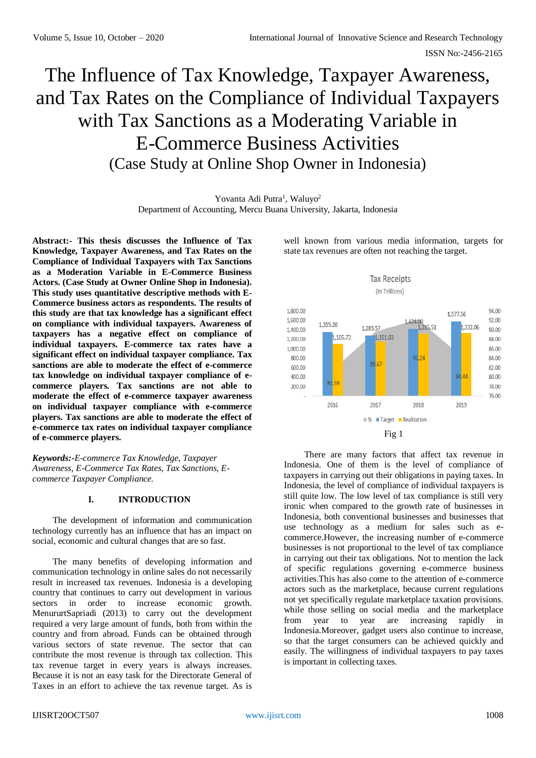# The Influence of Tax Knowledge, Taxpayer Awareness, and Tax Rates on the Compliance of Individual Taxpayers with Tax Sanctions as a Moderating Variable in E-Commerce Business Activities (Case Study at Online Shop Owner in Indonesia)

Yovanta Adi Putra<sup>1</sup>, Waluyo<sup>2</sup> Department of Accounting, Mercu Buana University, Jakarta, Indonesia

**Abstract:- This thesis discusses the Influence of Tax Knowledge, Taxpayer Awareness, and Tax Rates on the Compliance of Individual Taxpayers with Tax Sanctions as a Moderation Variable in E-Commerce Business Actors. (Case Study at Owner Online Shop in Indonesia). This study uses quantitative descriptive methods with E-Commerce business actors as respondents. The results of this study are that tax knowledge has a significant effect on compliance with individual taxpayers. Awareness of taxpayers has a negative effect on compliance of individual taxpayers. E-commerce tax rates have a significant effect on individual taxpayer compliance. Tax sanctions are able to moderate the effect of e-commerce tax knowledge on individual taxpayer compliance of ecommerce players. Tax sanctions are not able to moderate the effect of e-commerce taxpayer awareness on individual taxpayer compliance with e-commerce players. Tax sanctions are able to moderate the effect of e-commerce tax rates on individual taxpayer compliance of e-commerce players.**

*Keywords:-E-commerce Tax Knowledge, Taxpayer Awareness, E-Commerce Tax Rates, Tax Sanctions, Ecommerce Taxpayer Compliance.*

## **I. INTRODUCTION**

The development of information and communication technology currently has an influence that has an impact on social, economic and cultural changes that are so fast.

The many benefits of developing information and communication technology in online sales do not necessarily result in increased tax revenues. Indonesia is a developing country that continues to carry out development in various sectors in order to increase economic growth. MenururtSapriadi (2013) to carry out the development required a very large amount of funds, both from within the country and from abroad. Funds can be obtained through various sectors of state revenue. The sector that can contribute the most revenue is through tax collection. This tax revenue target in every years is always increases. Because it is not an easy task for the Directorate General of Taxes in an effort to achieve the tax revenue target. As is

well known from various media information, targets for state tax revenues are often not reaching the target.



There are many factors that affect tax revenue in Indonesia. One of them is the level of compliance of taxpayers in carrying out their obligations in paying taxes. In Indonesia, the level of compliance of individual taxpayers is still quite low. The low level of tax compliance is still very ironic when compared to the growth rate of businesses in Indonesia, both conventional businesses and businesses that use technology as a medium for sales such as ecommerce.However, the increasing number of e-commerce businesses is not proportional to the level of tax compliance in carrying out their tax obligations. Not to mention the lack of specific regulations governing e-commerce business activities.This has also come to the attention of e-commerce actors such as the marketplace, because current regulations not yet specifically regulate marketplace taxation provisions. while those selling on social media and the marketplace from year to year are increasing rapidly in Indonesia.Moreover, gadget users also continue to increase, so that the target consumers can be achieved quickly and easily. The willingness of individual taxpayers to pay taxes is important in collecting taxes.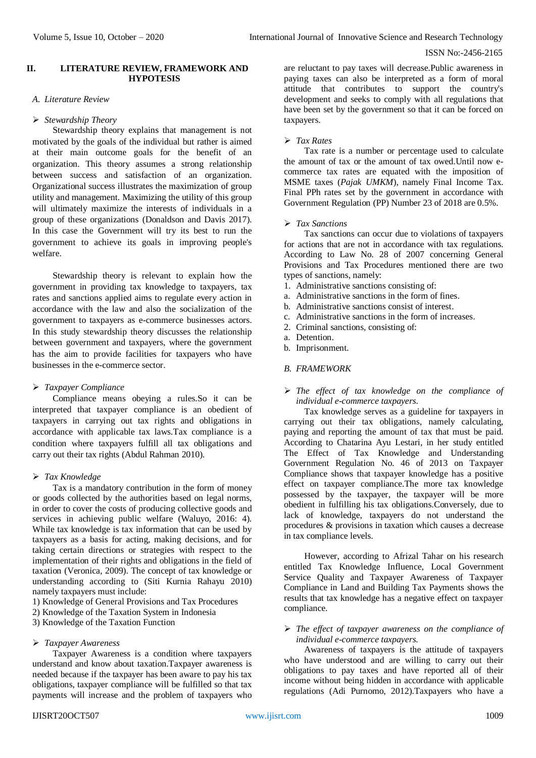## **II. LITERATURE REVIEW, FRAMEWORK AND HYPOTESIS**

## *A. Literature Review*

# *Stewardship Theory*

Stewardship theory explains that management is not motivated by the goals of the individual but rather is aimed at their main outcome goals for the benefit of an organization. This theory assumes a strong relationship between success and satisfaction of an organization. Organizational success illustrates the maximization of group utility and management. Maximizing the utility of this group will ultimately maximize the interests of individuals in a group of these organizations (Donaldson and Davis 2017). In this case the Government will try its best to run the government to achieve its goals in improving people's welfare.

Stewardship theory is relevant to explain how the government in providing tax knowledge to taxpayers, tax rates and sanctions applied aims to regulate every action in accordance with the law and also the socialization of the government to taxpayers as e-commerce businesses actors. In this study stewardship theory discusses the relationship between government and taxpayers, where the government has the aim to provide facilities for taxpayers who have businesses in the e-commerce sector.

# *Taxpayer Compliance*

Compliance means obeying a rules.So it can be interpreted that taxpayer compliance is an obedient of taxpayers in carrying out tax rights and obligations in accordance with applicable tax laws.Tax compliance is a condition where taxpayers fulfill all tax obligations and carry out their tax rights (Abdul Rahman 2010).

# *Tax Knowledge*

Tax is a mandatory contribution in the form of money or goods collected by the authorities based on legal norms, in order to cover the costs of producing collective goods and services in achieving public welfare (Waluyo, 2016: 4). While tax knowledge is tax information that can be used by taxpayers as a basis for acting, making decisions, and for taking certain directions or strategies with respect to the implementation of their rights and obligations in the field of taxation (Veronica, 2009). The concept of tax knowledge or understanding according to (Siti Kurnia Rahayu 2010) namely taxpayers must include:

1) Knowledge of General Provisions and Tax Procedures

- 2) Knowledge of the Taxation System in Indonesia
- 3) Knowledge of the Taxation Function

## *Taxpayer Awareness*

Taxpayer Awareness is a condition where taxpayers understand and know about taxation.Taxpayer awareness is needed because if the taxpayer has been aware to pay his tax obligations, taxpayer compliance will be fulfilled so that tax payments will increase and the problem of taxpayers who

are reluctant to pay taxes will decrease.Public awareness in paying taxes can also be interpreted as a form of moral attitude that contributes to support the country's development and seeks to comply with all regulations that have been set by the government so that it can be forced on taxpayers.

# *Tax Rates*

Tax rate is a number or percentage used to calculate the amount of tax or the amount of tax owed.Until now ecommerce tax rates are equated with the imposition of MSME taxes (*Pajak UMKM*), namely Final Income Tax. Final PPh rates set by the government in accordance with Government Regulation (PP) Number 23 of 2018 are 0.5%.

# *Tax Sanctions*

Tax sanctions can occur due to violations of taxpayers for actions that are not in accordance with tax regulations. According to Law No. 28 of 2007 concerning General Provisions and Tax Procedures mentioned there are two types of sanctions, namely:

- 1. Administrative sanctions consisting of:
- a. Administrative sanctions in the form of fines.
- b. Administrative sanctions consist of interest.
- c. Administrative sanctions in the form of increases.
- 2. Criminal sanctions, consisting of:
- a. Detention.
- b. Imprisonment.

## *B. FRAMEWORK*

 *The effect of tax knowledge on the compliance of individual e-commerce taxpayers.*

Tax knowledge serves as a guideline for taxpayers in carrying out their tax obligations, namely calculating, paying and reporting the amount of tax that must be paid. According to Chatarina Ayu Lestari, in her study entitled The Effect of Tax Knowledge and Understanding Government Regulation No. 46 of 2013 on Taxpayer Compliance shows that taxpayer knowledge has a positive effect on taxpayer compliance.The more tax knowledge possessed by the taxpayer, the taxpayer will be more obedient in fulfilling his tax obligations.Conversely, due to lack of knowledge, taxpayers do not understand the procedures & provisions in taxation which causes a decrease in tax compliance levels.

However, according to Afrizal Tahar on his research entitled Tax Knowledge Influence, Local Government Service Quality and Taxpayer Awareness of Taxpayer Compliance in Land and Building Tax Payments shows the results that tax knowledge has a negative effect on taxpayer compliance.

## *The effect of taxpayer awareness on the compliance of individual e-commerce taxpayers.*

Awareness of taxpayers is the attitude of taxpayers who have understood and are willing to carry out their obligations to pay taxes and have reported all of their income without being hidden in accordance with applicable regulations (Adi Purnomo, 2012).Taxpayers who have a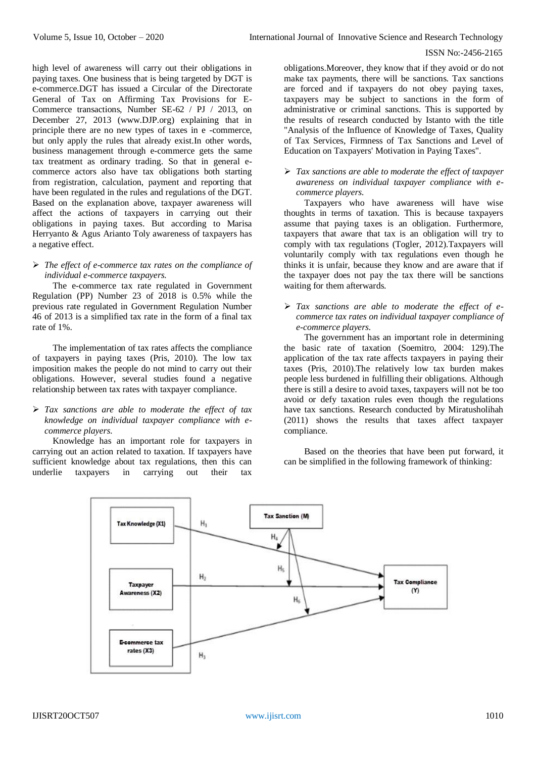high level of awareness will carry out their obligations in paying taxes. One business that is being targeted by DGT is e-commerce.DGT has issued a Circular of the Directorate General of Tax on Affirming Tax Provisions for E-Commerce transactions, Number SE-62 / PJ / 2013, on December 27, 2013 (www.DJP.org) explaining that in principle there are no new types of taxes in e -commerce, but only apply the rules that already exist.In other words, business management through e-commerce gets the same tax treatment as ordinary trading. So that in general ecommerce actors also have tax obligations both starting from registration, calculation, payment and reporting that have been regulated in the rules and regulations of the DGT. Based on the explanation above, taxpayer awareness will affect the actions of taxpayers in carrying out their obligations in paying taxes. But according to Marisa Herryanto & Agus Arianto Toly awareness of taxpayers has a negative effect.

## *The effect of e-commerce tax rates on the compliance of individual e-commerce taxpayers.*

The e-commerce tax rate regulated in Government Regulation (PP) Number 23 of 2018 is 0.5% while the previous rate regulated in Government Regulation Number 46 of 2013 is a simplified tax rate in the form of a final tax rate of 1%.

The implementation of tax rates affects the compliance of taxpayers in paying taxes (Pris, 2010). The low tax imposition makes the people do not mind to carry out their obligations. However, several studies found a negative relationship between tax rates with taxpayer compliance.

## *Tax sanctions are able to moderate the effect of tax knowledge on individual taxpayer compliance with ecommerce players.*

Knowledge has an important role for taxpayers in carrying out an action related to taxation. If taxpayers have sufficient knowledge about tax regulations, then this can underlie taxpayers in carrying out their tax

obligations.Moreover, they know that if they avoid or do not make tax payments, there will be sanctions. Tax sanctions are forced and if taxpayers do not obey paying taxes, taxpayers may be subject to sanctions in the form of administrative or criminal sanctions. This is supported by the results of research conducted by Istanto with the title "Analysis of the Influence of Knowledge of Taxes, Quality of Tax Services, Firmness of Tax Sanctions and Level of Education on Taxpayers' Motivation in Paying Taxes".

 *Tax sanctions are able to moderate the effect of taxpayer awareness on individual taxpayer compliance with ecommerce players.*

Taxpayers who have awareness will have wise thoughts in terms of taxation. This is because taxpayers assume that paying taxes is an obligation. Furthermore, taxpayers that aware that tax is an obligation will try to comply with tax regulations (Togler, 2012).Taxpayers will voluntarily comply with tax regulations even though he thinks it is unfair, because they know and are aware that if the taxpayer does not pay the tax there will be sanctions waiting for them afterwards.

 *Tax sanctions are able to moderate the effect of ecommerce tax rates on individual taxpayer compliance of e-commerce players.*

The government has an important role in determining the basic rate of taxation (Soemitro, 2004: 129).The application of the tax rate affects taxpayers in paying their taxes (Pris, 2010).The relatively low tax burden makes people less burdened in fulfilling their obligations. Although there is still a desire to avoid taxes, taxpayers will not be too avoid or defy taxation rules even though the regulations have tax sanctions. Research conducted by Miratusholihah (2011) shows the results that taxes affect taxpayer compliance.

Based on the theories that have been put forward, it can be simplified in the following framework of thinking:

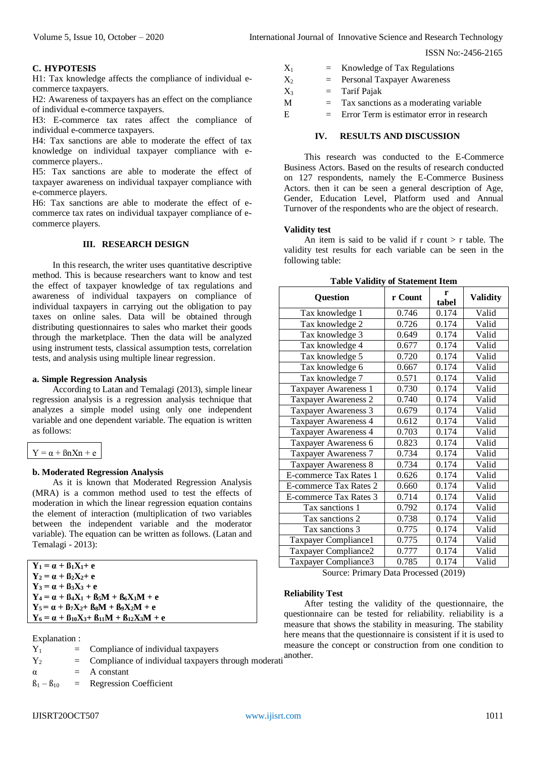## **C. HYPOTESIS**

H1: Tax knowledge affects the compliance of individual ecommerce taxpayers.

H2: Awareness of taxpayers has an effect on the compliance of individual e-commerce taxpayers.

H3: E-commerce tax rates affect the compliance of individual e-commerce taxpayers.

H4: Tax sanctions are able to moderate the effect of tax knowledge on individual taxpayer compliance with ecommerce players..

H5: Tax sanctions are able to moderate the effect of taxpayer awareness on individual taxpayer compliance with e-commerce players.

H6: Tax sanctions are able to moderate the effect of ecommerce tax rates on individual taxpayer compliance of ecommerce players.

## **III. RESEARCH DESIGN**

In this research, the writer uses quantitative descriptive method. This is because researchers want to know and test the effect of taxpayer knowledge of tax regulations and awareness of individual taxpayers on compliance of individual taxpayers in carrying out the obligation to pay taxes on online sales. Data will be obtained through distributing questionnaires to sales who market their goods through the marketplace. Then the data will be analyzed using instrument tests, classical assumption tests, correlation tests, and analysis using multiple linear regression.

## **a. Simple Regression Analysis**

According to Latan and Temalagi (2013), simple linear regression analysis is a regression analysis technique that analyzes a simple model using only one independent variable and one dependent variable. The equation is written as follows:

```
Y = \alpha + \beta n X n + e
```
#### **b. Moderated Regression Analysis**

As it is known that Moderated Regression Analysis (MRA) is a common method used to test the effects of moderation in which the linear regression equation contains the element of interaction (multiplication of two variables between the independent variable and the moderator variable). The equation can be written as follows. (Latan and Temalagi - 2013):

**Y**<sub>1</sub> = α +  $β$ <sub>1</sub> $X$ <sub>1</sub>+ e  $Y_2 = \alpha + \beta_2 X_2 + e$  $Y_3 = \alpha + \beta_3 X_3 + e$  $Y_4 = \alpha + \beta_4 X_1 + \beta_5 M + \beta_6 X_1 M + e$  $Y_5 = \alpha + \beta_7 X_2 + \beta_8 M + \beta_9 X_2 M + e$  $Y_6 = \alpha + \beta_{10}X_3 + \beta_{11}M + \beta_{12}X_3M + e$ 

Explanation :

| $Y_1$ |  | Compliance of individual taxpayers                                                           |
|-------|--|----------------------------------------------------------------------------------------------|
|       |  | $C_{\text{current}}$ , $\alpha$ and $\beta$ and $\beta$ is distributed to the second $\beta$ |

- $Y_2$  = Compliance of individual taxpayers through moderation another.
- $\alpha$  = A constant

 $B_1 - B_{10} =$  Regression Coefficient

 $E = Error Term$  is estimator error in research

## **IV. RESULTS AND DISCUSSION**

This research was conducted to the E-Commerce Business Actors. Based on the results of research conducted on 127 respondents, namely the E-Commerce Business Actors. then it can be seen a general description of Age, Gender, Education Level, Platform used and Annual Turnover of the respondents who are the object of research.

#### **Validity test**

An item is said to be valid if  $r$  count  $>r$  table. The validity test results for each variable can be seen in the following table:

**Table Validity of Statement Item**

| <b>Question</b>        | r Count | r<br>tabel | <b>Validity</b> |
|------------------------|---------|------------|-----------------|
| Tax knowledge 1        | 0.746   | 0.174      | Valid           |
| Tax knowledge 2        | 0.726   | 0.174      | Valid           |
| Tax knowledge 3        | 0.649   | 0.174      | Valid           |
| Tax knowledge 4        | 0.677   | 0.174      | Valid           |
| Tax knowledge 5        | 0.720   | 0.174      | Valid           |
| Tax knowledge 6        | 0.667   | 0.174      | Valid           |
| Tax knowledge 7        | 0.571   | 0.174      | Valid           |
| Taxpayer Awareness 1   | 0.730   | 0.174      | Valid           |
| Taxpayer Awareness 2   | 0.740   | 0.174      | Valid           |
| Taxpayer Awareness 3   | 0.679   | 0.174      | Valid           |
| Taxpayer Awareness 4   | 0.612   | 0.174      | Valid           |
| Taxpayer Awareness 4   | 0.703   | 0.174      | Valid           |
| Taxpayer Awareness 6   | 0.823   | 0.174      | Valid           |
| Taxpayer Awareness 7   | 0.734   | 0.174      | Valid           |
| Taxpayer Awareness 8   | 0.734   | 0.174      | Valid           |
| E-commerce Tax Rates 1 | 0.626   | 0.174      | Valid           |
| E-commerce Tax Rates 2 | 0.660   | 0.174      | Valid           |
| E-commerce Tax Rates 3 | 0.714   | 0.174      | Valid           |
| Tax sanctions 1        | 0.792   | 0.174      | Valid           |
| Tax sanctions 2        | 0.738   | 0.174      | Valid           |
| Tax sanctions 3        | 0.775   | 0.174      | Valid           |
| Taxpayer Compliance1   | 0.775   | 0.174      | Valid           |
| Taxpayer Compliance2   | 0.777   | 0.174      | Valid           |
| Taxpayer Compliance3   | 0.785   | 0.174      | Valid           |

Source: Primary Data Processed (2019)

#### **Reliability Test**

After testing the validity of the questionnaire, the questionnaire can be tested for reliability. reliability is a measure that shows the stability in measuring. The stability here means that the questionnaire is consistent if it is used to measure the concept or construction from one condition to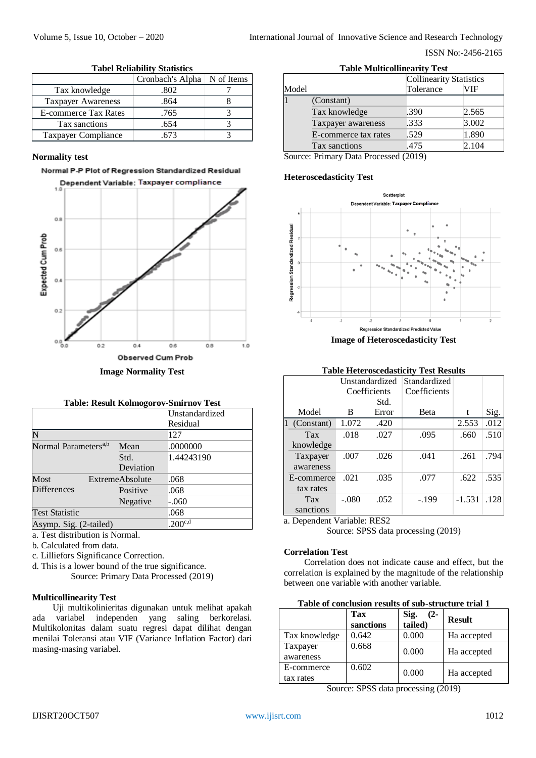|                             | Cronbach's Alpha   N of Items |  |
|-----------------------------|-------------------------------|--|
| Tax knowledge               | .802                          |  |
| <b>Taxpayer Awareness</b>   | .864                          |  |
| <b>E-commerce Tax Rates</b> | .765                          |  |
| Tax sanctions               | .654                          |  |
| Taxpayer Compliance         |                               |  |

## **Tabel Reliability Statistics**

# **Normality test**

# Normal P-P Plot of Regression Standardized Residual



|  | <b>Table: Result Kolmogorov-Smirnov Test</b> |  |
|--|----------------------------------------------|--|
|  |                                              |  |

|                                  |                        | Unstandardized |
|----------------------------------|------------------------|----------------|
|                                  |                        | Residual       |
|                                  |                        | 127            |
| Normal Parameters <sup>a,b</sup> | Mean                   | .0000000       |
|                                  | Std.                   | 1.44243190     |
|                                  | Deviation              |                |
| Most                             | <b>ExtremeAbsolute</b> | .068           |
| <b>Differences</b>               | Positive               | .068           |
|                                  | Negative               | $-.060$        |
| <b>Test Statistic</b>            |                        | .068           |
| Asymp. Sig. (2-tailed)           |                        | $.200^{c,d}$   |

a. Test distribution is Normal.

- b. Calculated from data.
- c. Lilliefors Significance Correction.
- d. This is a lower bound of the true significance.
	- Source: Primary Data Processed (2019)

# **Multicollinearity Test**

Uji multikolinieritas digunakan untuk melihat apakah ada variabel independen yang saling berkorelasi. Multikolonitas dalam suatu regresi dapat dilihat dengan menilai Toleransi atau VIF (Variance Inflation Factor) dari masing-masing variabel.

| rabic infusionincarity rest |                      |                                |       |
|-----------------------------|----------------------|--------------------------------|-------|
|                             |                      | <b>Collinearity Statistics</b> |       |
| Model                       |                      | Tolerance                      | VIF   |
|                             | (Constant)           |                                |       |
|                             | Tax knowledge        | .390                           | 2.565 |
|                             | Taxpayer awareness   | .333                           | 3.002 |
|                             | E-commerce tax rates | .529                           | 1.890 |
|                             | Tax sanctions        | .475                           | 2.104 |
|                             |                      |                                |       |

**Table Multicollinearity Test**

Source: Primary Data Processed (2019)

# **Heteroscedasticity Test**



**Table Heteroscedasticity Test Results**  Model Unstandardized Standardized **Coefficients Coefficients** B Error Beta t Sig. Std. 1 (Constant) 1.072 .420 2.553 .012 Tax knowledge .018 .027 .095 .660 .510 Taxpayer awareness .007 .026 .041 .261 .794 E-commerce tax rates .021 .035 .077 .622 .535 Tax sanctions  $-.080$   $.052$   $-.199$   $-.1.531$   $.128$ 

a. Dependent Variable: RES2

Source: SPSS data processing (2019)

## **Correlation Test**

Correlation does not indicate cause and effect, but the correlation is explained by the magnitude of the relationship between one variable with another variable.

|                         | Tax<br>sanctions | Sig.<br>tailed)<br>$(2 -$ | <b>Result</b> |
|-------------------------|------------------|---------------------------|---------------|
| Tax knowledge           | 0.642            | 0.000                     | Ha accepted   |
| Taxpayer<br>awareness   | 0.668            | 0.000                     | Ha accepted   |
| E-commerce<br>tax rates | 0.602            | 0.000                     | Ha accepted   |

Source: SPSS data processing (2019)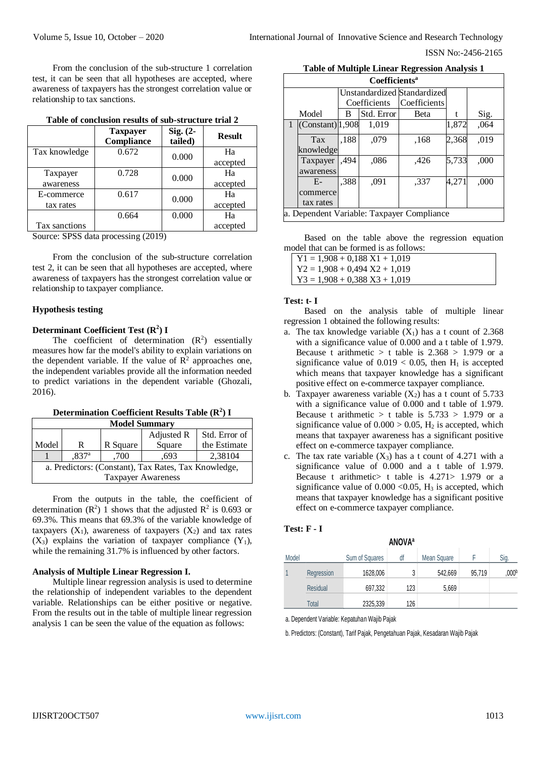From the conclusion of the sub-structure 1 correlation test, it can be seen that all hypotheses are accepted, where awareness of taxpayers has the strongest correlation value or relationship to tax sanctions.

|                         | <b>Taxpayer</b><br>Compliance | $Sig. (2-$<br>tailed) | <b>Result</b>  |
|-------------------------|-------------------------------|-----------------------|----------------|
| Tax knowledge           | 0.672                         | 0.000                 | Ha<br>accepted |
| Taxpayer<br>awareness   | 0.728                         | 0.000                 | Ha<br>accepted |
| E-commerce<br>tax rates | 0.617                         | 0.000                 | Ha<br>accepted |
| Tax sanctions           | 0.664                         | 0.000                 | Ha<br>accepted |

Source: SPSS data processing (2019)

From the conclusion of the sub-structure correlation test 2, it can be seen that all hypotheses are accepted, where awareness of taxpayers has the strongest correlation value or relationship to taxpayer compliance.

## **Hypothesis testing**

## **Determinant Coefficient Test (R<sup>2</sup> ) I**

The coefficient of determination  $(R^2)$  essentially measures how far the model's ability to explain variations on the dependent variable. If the value of  $\mathbb{R}^2$  approaches one, the independent variables provide all the information needed to predict variations in the dependent variable (Ghozali, 2016).

| Determination Coefficient Results Table $(R^2)$ I |  |  |  |  |  |
|---------------------------------------------------|--|--|--|--|--|
|---------------------------------------------------|--|--|--|--|--|

| <b>Model Summary</b>                                 |                                              |          |        |              |  |  |
|------------------------------------------------------|----------------------------------------------|----------|--------|--------------|--|--|
|                                                      | Std. Error of<br>Adjusted R                  |          |        |              |  |  |
| Model                                                | R                                            | R Square | Square | the Estimate |  |  |
|                                                      | 2,38104<br>.837 <sup>a</sup><br>.700<br>.693 |          |        |              |  |  |
| a. Predictors: (Constant), Tax Rates, Tax Knowledge, |                                              |          |        |              |  |  |
| <b>Taxpayer Awareness</b>                            |                                              |          |        |              |  |  |

From the outputs in the table, the coefficient of determination  $(R^2)$  1 shows that the adjusted  $R^2$  is 0.693 or 69.3%. This means that 69.3% of the variable knowledge of taxpayers  $(X_1)$ , awareness of taxpayers  $(X_2)$  and tax rates  $(X_3)$  explains the variation of taxpayer compliance  $(Y_1)$ , while the remaining 31.7% is influenced by other factors.

#### **Analysis of Multiple Linear Regression I.**

Multiple linear regression analysis is used to determine the relationship of independent variables to the dependent variable. Relationships can be either positive or negative. From the results out in the table of multiple linear regression analysis 1 can be seen the value of the equation as follows:

|  | <b>Table of Multiple Linear Regression Analysis 1</b> |  |  |  |
|--|-------------------------------------------------------|--|--|--|
|--|-------------------------------------------------------|--|--|--|

| Coefficients <sup>a</sup>                  |                                                   |      |                               |              |       |      |  |  |  |
|--------------------------------------------|---------------------------------------------------|------|-------------------------------|--------------|-------|------|--|--|--|
|                                            | <b>Unstandardized Standardized</b>                |      |                               |              |       |      |  |  |  |
|                                            |                                                   |      | Coefficients                  | Coefficients |       |      |  |  |  |
|                                            | Model                                             | B    | Std. Error                    | Beta         |       | Sig. |  |  |  |
|                                            | $(Constant)$ <sup>1,908</sup>                     |      | 1,019                         |              | 1,872 | ,064 |  |  |  |
|                                            | Tax                                               | ,188 | 2,368<br>,019<br>,079<br>.168 |              |       |      |  |  |  |
|                                            | knowledge                                         |      |                               |              |       |      |  |  |  |
|                                            | 5,733<br>,494<br>,086<br>,426<br>,000<br>Taxpayer |      |                               |              |       |      |  |  |  |
|                                            | awareness                                         |      |                               |              |       |      |  |  |  |
|                                            | 4,271<br>,388<br>,091<br>,000<br>$E-$<br>.337     |      |                               |              |       |      |  |  |  |
|                                            | commerce                                          |      |                               |              |       |      |  |  |  |
|                                            | tax rates                                         |      |                               |              |       |      |  |  |  |
| a. Dependent Variable: Taxpayer Compliance |                                                   |      |                               |              |       |      |  |  |  |

Based on the table above the regression equation model that can be formed is as follows:

 $Y1 = 1,908 + 0,188 X1 + 1,019$ 

- $Y2 = 1,908 + 0,494 X2 + 1,019$
- $Y3 = 1,908 + 0,388 X3 + 1,019$

## **Test: t- I**

Based on the analysis table of multiple linear regression 1 obtained the following results:

- a. The tax knowledge variable  $(X_1)$  has a t count of 2.368 with a significance value of 0.000 and a t table of 1.979. Because t arithmetic  $>$  t table is 2.368  $> 1.979$  or a significance value of  $0.019 < 0.05$ , then H<sub>1</sub> is accepted which means that taxpayer knowledge has a significant positive effect on e-commerce taxpayer compliance.
- b. Taxpayer awareness variable  $(X_2)$  has a t count of 5.733 with a significance value of 0.000 and t table of 1.979. Because t arithmetic  $>$  t table is 5.733  $> 1.979$  or a significance value of  $0.000 > 0.05$ , H<sub>2</sub> is accepted, which means that taxpayer awareness has a significant positive effect on e-commerce taxpayer compliance*.*
- c. The tax rate variable  $(X_3)$  has a t count of 4.271 with a significance value of 0.000 and a t table of 1.979. Because t arithmetic> t table is 4.271> 1.979 or a significance value of  $0.000 \le 0.05$ , H<sub>3</sub> is accepted, which means that taxpayer knowledge has a significant positive effect on e-commerce taxpayer compliance.

# **Test: F - I**

| <b>ANOVA</b> <sup>a</sup> |                 |                |     |             |        |       |  |  |
|---------------------------|-----------------|----------------|-----|-------------|--------|-------|--|--|
| Model                     |                 | Sum of Squares | df  | Mean Square |        | Sig.  |  |  |
| 1                         | Regression      | 1628,006       | 3   | 542,669     | 95,719 | ,000b |  |  |
|                           | <b>Residual</b> | 697,332        | 123 | 5,669       |        |       |  |  |
|                           | Total           | 2325,339       | 126 |             |        |       |  |  |

a. Dependent Variable: Kepatuhan Wajib Pajak

b. Predictors: (Constant), Tarif Pajak, Pengetahuan Pajak, Kesadaran Wajib Pajak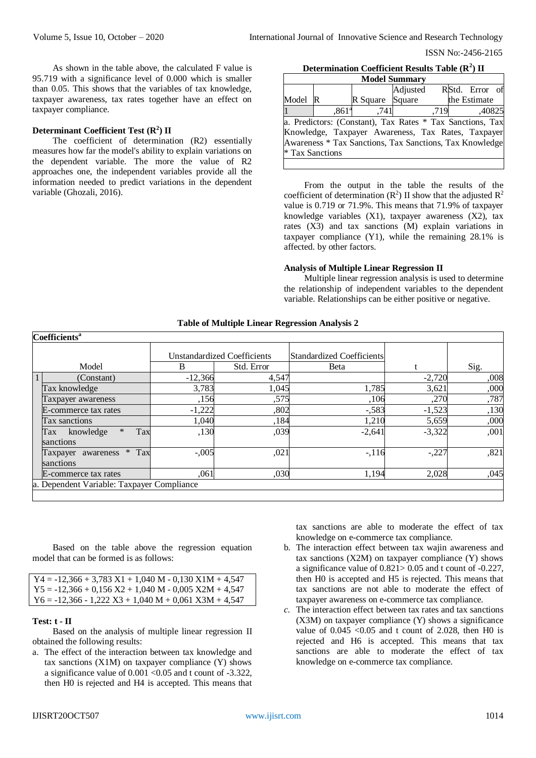As shown in the table above, the calculated F value is 95.719 with a significance level of 0.000 which is smaller than 0.05. This shows that the variables of tax knowledge, taxpayer awareness, tax rates together have an effect on taxpayer compliance.

## **Determinant Coefficient Test (R<sup>2</sup> ) II**

The coefficient of determination (R2) essentially measures how far the model's ability to explain variations on the dependent variable. The more the value of R2 approaches one, the independent variables provide all the information needed to predict variations in the dependent variable (Ghozali, 2016).

**Determination Coefficient Results Table (R<sup>2</sup> ) II**

| <b>Model Summary</b>                                      |                   |          |          |      |  |                |  |  |
|-----------------------------------------------------------|-------------------|----------|----------|------|--|----------------|--|--|
|                                                           |                   |          | Adjusted |      |  | RStd. Error of |  |  |
| Model                                                     | R                 | R Square | Square   |      |  | the Estimate   |  |  |
|                                                           | .861 <sup>a</sup> | .7411    |          | .719 |  | ,40825         |  |  |
| a. Predictors: (Constant), Tax Rates * Tax Sanctions, Tax |                   |          |          |      |  |                |  |  |
| Knowledge, Taxpayer Awareness, Tax Rates, Taxpayer        |                   |          |          |      |  |                |  |  |
| Awareness * Tax Sanctions, Tax Sanctions, Tax Knowledge   |                   |          |          |      |  |                |  |  |
| * Tax Sanctions                                           |                   |          |          |      |  |                |  |  |
|                                                           |                   |          |          |      |  |                |  |  |

From the output in the table the results of the coefficient of determination  $(R^2)$  II show that the adjusted  $R^2$ value is 0.719 or 71.9%. This means that 71.9% of taxpayer knowledge variables (X1), taxpayer awareness (X2), tax rates (X3) and tax sanctions (M) explain variations in taxpayer compliance (Y1), while the remaining 28.1% is affected. by other factors.

## **Analysis of Multiple Linear Regression II**

Multiple linear regression analysis is used to determine the relationship of independent variables to the dependent variable. Relationships can be either positive or negative.

## **Table of Multiple Linear Regression Analysis 2**

| <b>Coefficients<sup>a</sup></b>                |           |                                    |                           |          |      |
|------------------------------------------------|-----------|------------------------------------|---------------------------|----------|------|
|                                                |           | <b>Unstandardized Coefficients</b> | Standardized Coefficients |          |      |
| Model                                          | B         | Std. Error                         | <b>B</b> eta              |          | Sig. |
| (Constant)                                     | $-12,366$ | 4,547                              |                           | $-2,720$ | ,008 |
| Tax knowledge                                  | 3,783     | 1,045                              | 1,785                     | 3,621    | ,000 |
| Taxpayer awareness                             | ,156      | ,575                               | ,106                      | ,270     | ,787 |
| E-commerce tax rates                           | $-1,222$  | ,802                               | $-.583$                   | $-1,523$ | ,130 |
| Tax sanctions                                  | 1,040     | ,184                               | 1,210                     | 5,659    | ,000 |
| $\ast$<br>Tax<br>knowledge<br>Tax<br>sanctions | ,130      | ,039                               | $-2,641$                  | $-3,322$ | ,001 |
| $*$ Tax<br>Taxpayer awareness<br>sanctions     | $-.005$   | ,021                               | $-116$                    | $-.227$  | ,821 |
| E-commerce tax rates                           | ,061      | ,030                               | 1,194                     | 2,028    | ,045 |
| a. Dependent Variable: Taxpayer Compliance     |           |                                    |                           |          |      |

Based on the table above the regression equation model that can be formed is as follows:

| $Y4 = -12,366 + 3,783 X1 + 1,040 M - 0,130 X1M + 4,547$ |
|---------------------------------------------------------|
| $Y5 = -12,366 + 0,156 X2 + 1,040 M - 0,005 X2M + 4,547$ |
| $Y6 = -12.366 - 1.222 X3 + 1.040 M + 0.061 X3M + 4.547$ |

#### **Test: t - II**

Based on the analysis of multiple linear regression II obtained the following results:

a. The effect of the interaction between tax knowledge and tax sanctions  $(X1M)$  on taxpayer compliance  $(Y)$  shows a significance value of  $0.001 < 0.05$  and t count of -3.322, then H0 is rejected and H4 is accepted. This means that

tax sanctions are able to moderate the effect of tax knowledge on e-commerce tax compliance*.*

- b. The interaction effect between tax wajin awareness and tax sanctions (X2M) on taxpayer compliance (Y) shows a significance value of 0.821> 0.05 and t count of -0.227, then H0 is accepted and H5 is rejected. This means that tax sanctions are not able to moderate the effect of taxpayer awareness on e-commerce tax compliance*.*
- *c.* The interaction effect between tax rates and tax sanctions (X3M) on taxpayer compliance (Y) shows a significance value of  $0.045 \leq 0.05$  and t count of 2.028, then H0 is rejected and H6 is accepted. This means that tax sanctions are able to moderate the effect of tax knowledge on e-commerce tax compliance.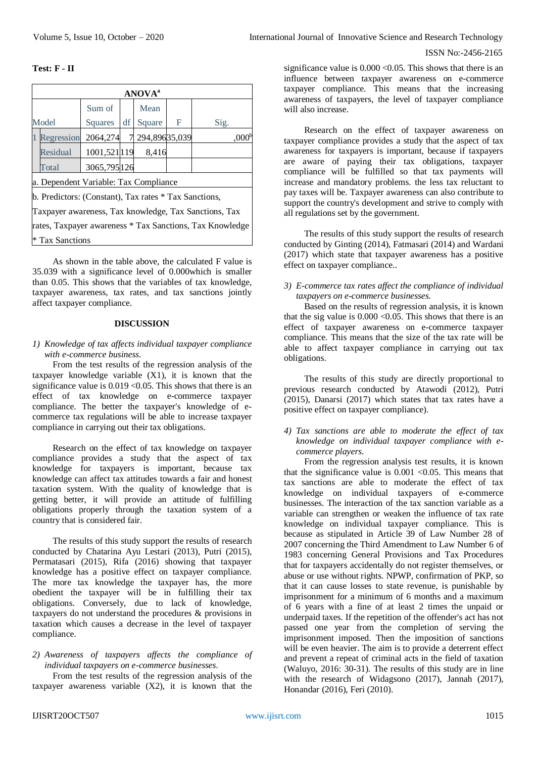**Test: F - II**

|                                                          | <b>ANOVA</b> <sup>a</sup> |                |    |               |   |                   |  |  |
|----------------------------------------------------------|---------------------------|----------------|----|---------------|---|-------------------|--|--|
|                                                          | Sum of<br>Mean            |                |    |               |   |                   |  |  |
|                                                          | Model                     | <b>Squares</b> | df | Square        | F | Sig.              |  |  |
|                                                          | Regression                | 2064,274       |    | 294,89635,039 |   | .000 <sup>t</sup> |  |  |
|                                                          | Residual                  | 1001,521119    |    | 8,416         |   |                   |  |  |
|                                                          | Total                     | 3065,795 126   |    |               |   |                   |  |  |
| a. Dependent Variable: Tax Compliance                    |                           |                |    |               |   |                   |  |  |
| b. Predictors: (Constant), Tax rates * Tax Sanctions,    |                           |                |    |               |   |                   |  |  |
| Taxpayer awareness, Tax knowledge, Tax Sanctions, Tax    |                           |                |    |               |   |                   |  |  |
| rates, Taxpayer awareness * Tax Sanctions, Tax Knowledge |                           |                |    |               |   |                   |  |  |
| l* Tax Sanctions                                         |                           |                |    |               |   |                   |  |  |

As shown in the table above, the calculated F value is 35.039 with a significance level of 0.000which is smaller than 0.05. This shows that the variables of tax knowledge, taxpayer awareness, tax rates, and tax sanctions jointly affect taxpayer compliance.

## **DISCUSSION**

## *1) Knowledge of tax affects individual taxpayer compliance with e-commerce business.*

From the test results of the regression analysis of the taxpayer knowledge variable  $(X1)$ , it is known that the significance value is  $0.019 < 0.05$ . This shows that there is an effect of tax knowledge on e-commerce taxpayer compliance. The better the taxpayer's knowledge of ecommerce tax regulations will be able to increase taxpayer compliance in carrying out their tax obligations.

Research on the effect of tax knowledge on taxpayer compliance provides a study that the aspect of tax knowledge for taxpayers is important, because tax knowledge can affect tax attitudes towards a fair and honest taxation system. With the quality of knowledge that is getting better, it will provide an attitude of fulfilling obligations properly through the taxation system of a country that is considered fair.

The results of this study support the results of research conducted by Chatarina Ayu Lestari (2013), Putri (2015), Permatasari (2015), Rifa (2016) showing that taxpayer knowledge has a positive effect on taxpayer compliance. The more tax knowledge the taxpayer has, the more obedient the taxpayer will be in fulfilling their tax obligations. Conversely, due to lack of knowledge, taxpayers do not understand the procedures & provisions in taxation which causes a decrease in the level of taxpayer compliance.

# *2) Awareness of taxpayers affects the compliance of individual taxpayers on e-commerce businesses.*

From the test results of the regression analysis of the taxpayer awareness variable  $(X2)$ , it is known that the

significance value is  $0.000 \le 0.05$ . This shows that there is an influence between taxpayer awareness on e-commerce taxpayer compliance. This means that the increasing awareness of taxpayers, the level of taxpayer compliance will also increase.

Research on the effect of taxpayer awareness on taxpayer compliance provides a study that the aspect of tax awareness for taxpayers is important, because if taxpayers are aware of paying their tax obligations, taxpayer compliance will be fulfilled so that tax payments will increase and mandatory problems. the less tax reluctant to pay taxes will be. Taxpayer awareness can also contribute to support the country's development and strive to comply with all regulations set by the government.

The results of this study support the results of research conducted by Ginting (2014), Fatmasari (2014) and Wardani (2017) which state that taxpayer awareness has a positive effect on taxpayer compliance..

## *3) E-commerce tax rates affect the compliance of individual taxpayers on e-commerce businesses.*

Based on the results of regression analysis, it is known that the sig value is  $0.000 \le 0.05$ . This shows that there is an effect of taxpayer awareness on e-commerce taxpayer compliance. This means that the size of the tax rate will be able to affect taxpayer compliance in carrying out tax obligations.

The results of this study are directly proportional to previous research conducted by Atawodi (2012), Putri (2015), Danarsi (2017) which states that tax rates have a positive effect on taxpayer compliance).

## *4) Tax sanctions are able to moderate the effect of tax knowledge on individual taxpayer compliance with ecommerce players.*

From the regression analysis test results, it is known that the significance value is  $0.001 < 0.05$ . This means that tax sanctions are able to moderate the effect of tax knowledge on individual taxpayers of e-commerce businesses. The interaction of the tax sanction variable as a variable can strengthen or weaken the influence of tax rate knowledge on individual taxpayer compliance. This is because as stipulated in Article 39 of Law Number 28 of 2007 concerning the Third Amendment to Law Number 6 of 1983 concerning General Provisions and Tax Procedures that for taxpayers accidentally do not register themselves, or abuse or use without rights. NPWP, confirmation of PKP, so that it can cause losses to state revenue, is punishable by imprisonment for a minimum of 6 months and a maximum of 6 years with a fine of at least 2 times the unpaid or underpaid taxes. If the repetition of the offender's act has not passed one year from the completion of serving the imprisonment imposed. Then the imposition of sanctions will be even heavier. The aim is to provide a deterrent effect and prevent a repeat of criminal acts in the field of taxation (Waluyo, 2016: 30-31). The results of this study are in line with the research of Widagsono (2017), Jannah (2017), Honandar (2016), Feri (2010).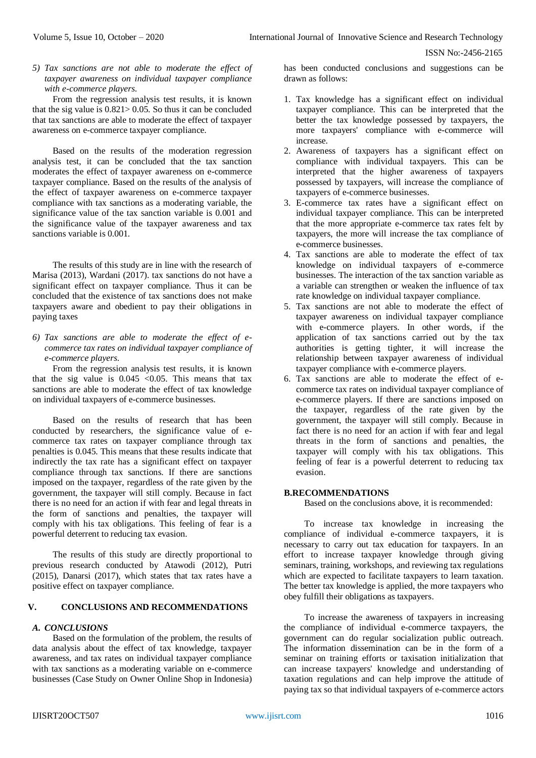*5) Tax sanctions are not able to moderate the effect of taxpayer awareness on individual taxpayer compliance with e-commerce players.*

From the regression analysis test results, it is known that the sig value is  $0.821 > 0.05$ . So thus it can be concluded that tax sanctions are able to moderate the effect of taxpayer awareness on e-commerce taxpayer compliance.

Based on the results of the moderation regression analysis test, it can be concluded that the tax sanction moderates the effect of taxpayer awareness on e-commerce taxpayer compliance. Based on the results of the analysis of the effect of taxpayer awareness on e-commerce taxpayer compliance with tax sanctions as a moderating variable, the significance value of the tax sanction variable is 0.001 and the significance value of the taxpayer awareness and tax sanctions variable is 0.001

The results of this study are in line with the research of Marisa (2013), Wardani (2017). tax sanctions do not have a significant effect on taxpayer compliance. Thus it can be concluded that the existence of tax sanctions does not make taxpayers aware and obedient to pay their obligations in paying taxes

*6) Tax sanctions are able to moderate the effect of ecommerce tax rates on individual taxpayer compliance of e-commerce players.*

From the regression analysis test results, it is known that the sig value is  $0.045 \le 0.05$ . This means that tax sanctions are able to moderate the effect of tax knowledge on individual taxpayers of e-commerce businesses.

Based on the results of research that has been conducted by researchers, the significance value of ecommerce tax rates on taxpayer compliance through tax penalties is 0.045. This means that these results indicate that indirectly the tax rate has a significant effect on taxpayer compliance through tax sanctions. If there are sanctions imposed on the taxpayer, regardless of the rate given by the government, the taxpayer will still comply. Because in fact there is no need for an action if with fear and legal threats in the form of sanctions and penalties, the taxpayer will comply with his tax obligations. This feeling of fear is a powerful deterrent to reducing tax evasion.

The results of this study are directly proportional to previous research conducted by Atawodi (2012), Putri (2015), Danarsi (2017), which states that tax rates have a positive effect on taxpayer compliance.

## **V. CONCLUSIONS AND RECOMMENDATIONS**

# *A. CONCLUSIONS*

Based on the formulation of the problem, the results of data analysis about the effect of tax knowledge, taxpayer awareness, and tax rates on individual taxpayer compliance with tax sanctions as a moderating variable on e-commerce businesses (Case Study on Owner Online Shop in Indonesia) has been conducted conclusions and suggestions can be drawn as follows:

- 1. Tax knowledge has a significant effect on individual taxpayer compliance. This can be interpreted that the better the tax knowledge possessed by taxpayers, the more taxpayers' compliance with e-commerce will increase.
- 2. Awareness of taxpayers has a significant effect on compliance with individual taxpayers. This can be interpreted that the higher awareness of taxpayers possessed by taxpayers, will increase the compliance of taxpayers of e-commerce businesses.
- 3. E-commerce tax rates have a significant effect on individual taxpayer compliance. This can be interpreted that the more appropriate e-commerce tax rates felt by taxpayers, the more will increase the tax compliance of e-commerce businesses.
- 4. Tax sanctions are able to moderate the effect of tax knowledge on individual taxpayers of e-commerce businesses. The interaction of the tax sanction variable as a variable can strengthen or weaken the influence of tax rate knowledge on individual taxpayer compliance.
- 5. Tax sanctions are not able to moderate the effect of taxpayer awareness on individual taxpayer compliance with e-commerce players. In other words, if the application of tax sanctions carried out by the tax authorities is getting tighter, it will increase the relationship between taxpayer awareness of individual taxpayer compliance with e-commerce players.
- 6. Tax sanctions are able to moderate the effect of ecommerce tax rates on individual taxpayer compliance of e-commerce players. If there are sanctions imposed on the taxpayer, regardless of the rate given by the government, the taxpayer will still comply. Because in fact there is no need for an action if with fear and legal threats in the form of sanctions and penalties, the taxpayer will comply with his tax obligations. This feeling of fear is a powerful deterrent to reducing tax evasion.

#### **B.RECOMMENDATIONS**

Based on the conclusions above, it is recommended:

To increase tax knowledge in increasing the compliance of individual e-commerce taxpayers, it is necessary to carry out tax education for taxpayers. In an effort to increase taxpayer knowledge through giving seminars, training, workshops, and reviewing tax regulations which are expected to facilitate taxpayers to learn taxation. The better tax knowledge is applied, the more taxpayers who obey fulfill their obligations as taxpayers.

To increase the awareness of taxpayers in increasing the compliance of individual e-commerce taxpayers, the government can do regular socialization public outreach. The information dissemination can be in the form of a seminar on training efforts or taxisation initialization that can increase taxpayers' knowledge and understanding of taxation regulations and can help improve the attitude of paying tax so that individual taxpayers of e-commerce actors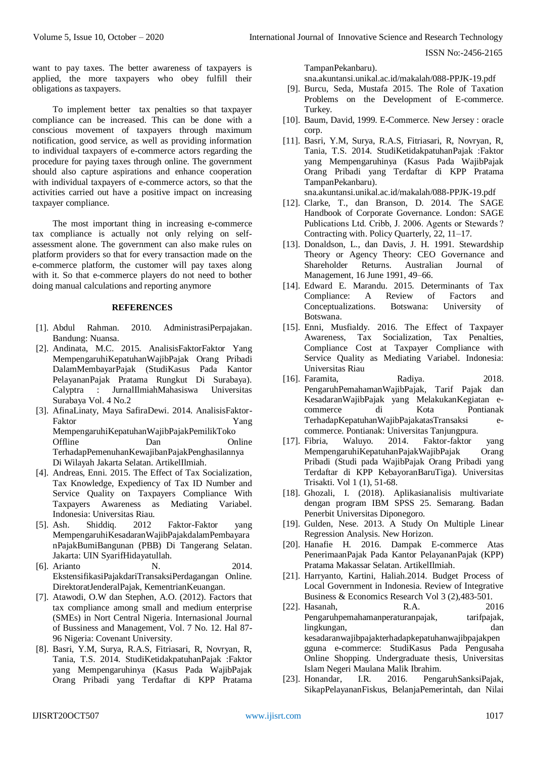want to pay taxes. The better awareness of taxpayers is applied, the more taxpayers who obey fulfill their obligations as taxpayers.

To implement better tax penalties so that taxpayer compliance can be increased. This can be done with a conscious movement of taxpayers through maximum notification, good service, as well as providing information to individual taxpayers of e-commerce actors regarding the procedure for paying taxes through online. The government should also capture aspirations and enhance cooperation with individual taxpayers of e-commerce actors, so that the activities carried out have a positive impact on increasing taxpayer compliance.

The most important thing in increasing e-commerce tax compliance is actually not only relying on selfassessment alone. The government can also make rules on platform providers so that for every transaction made on the e-commerce platform, the customer will pay taxes along with it. So that e-commerce players do not need to bother doing manual calculations and reporting anymore

#### **REFERENCES**

- [1]. Abdul Rahman. 2010. AdministrasiPerpajakan. Bandung: Nuansa.
- [2]. Andinata, M.C. 2015. AnalisisFaktorFaktor Yang MempengaruhiKepatuhanWajibPajak Orang Pribadi DalamMembayarPajak (StudiKasus Pada Kantor PelayananPajak Pratama Rungkut Di Surabaya). Calyptra : JurnalIlmiahMahasiswa Universitas Surabaya Vol. 4 No.2
- [3]. AfinaLinaty, Maya SafiraDewi. 2014. AnalisisFaktor-Faktor Yang MempengaruhiKepatuhanWajibPajakPemilikToko Offline Dan Online TerhadapPemenuhanKewajibanPajakPenghasilannya Di Wilayah Jakarta Selatan. ArtikelIlmiah.
- [4]. Andreas, Enni. 2015. The Effect of Tax Socialization, Tax Knowledge, Expediency of Tax ID Number and Service Quality on Taxpayers Compliance With Taxpayers Awareness as Mediating Variabel. Indonesia: Universitas Riau.
- [5]. Ash. Shiddiq. 2012 Faktor-Faktor yang MempengaruhiKesadaranWajibPajakdalamPembayara nPajakBumiBangunan (PBB) Di Tangerang Selatan. Jakarta: UIN SyarifHidayatullah.
- [6]. Arianto N. 2014. EkstensifikasiPajakdariTransaksiPerdagangan Online. DirektoratJenderalPajak, KementrianKeuangan.
- [7]. Atawodi, O.W dan Stephen, A.O. (2012). Factors that tax compliance among small and medium enterprise (SMEs) in Nort Central Nigeria. Internasional Journal of Bussiness and Management, Vol. 7 No. 12. Hal 87- 96 Nigeria: Covenant University.
- [8]. Basri, Y.M, Surya, R.A.S, Fitriasari, R, Novryan, R, Tania, T.S. 2014. StudiKetidakpatuhanPajak :Faktor yang Mempengaruhinya (Kasus Pada WajibPajak Orang Pribadi yang Terdaftar di KPP Pratama

TampanPekanbaru).

sna.akuntansi.unikal.ac.id/makalah/088-PPJK-19.pdf

- [9]. Burcu, Seda, Mustafa 2015. The Role of Taxation Problems on the Development of E-commerce. Turkey.
- [10]. Baum, David, 1999. E-Commerce. New Jersey : oracle corp.
- [11]. Basri, Y.M, Surya, R.A.S, Fitriasari, R, Novryan, R, Tania, T.S. 2014. StudiKetidakpatuhanPajak :Faktor yang Mempengaruhinya (Kasus Pada WajibPajak Orang Pribadi yang Terdaftar di KPP Pratama TampanPekanbaru).

sna.akuntansi.unikal.ac.id/makalah/088-PPJK-19.pdf

- [12]. Clarke, T., dan Branson, D. 2014. The SAGE Handbook of Corporate Governance. London: SAGE Publications Ltd. Cribb, J. 2006. Agents or Stewards ? Contracting with. Policy Quarterly, 22, 11–17.
- [13]. Donaldson, L., dan Davis, J. H. 1991. Stewardship Theory or Agency Theory: CEO Governance and Shareholder Returns. Australian Journal of Management, 16 June 1991, 49–66.
- [14]. Edward E. Marandu. 2015. Determinants of Tax Compliance: A Review of Factors and Conceptualizations. Botswana: University of Botswana.
- [15]. Enni, Musfialdy. 2016. The Effect of Taxpayer Awareness, Tax Socialization, Tax Penalties, Compliance Cost at Taxpayer Compliance with Service Quality as Mediating Variabel. Indonesia: Universitas Riau
- [16]. Faramita, Radiya. 2018. PengaruhPemahamanWajibPajak, Tarif Pajak dan KesadaranWajibPajak yang MelakukanKegiatan ecommerce di Kota Pontianak TerhadapKepatuhanWajibPajakatasTransaksi ecommerce. Pontianak: Universitas Tanjungpura.<br>Fibria, Waluyo. 2014. Faktor-faktor
- [17]. Fibria, Waluyo. 2014. Faktor-faktor yang MempengaruhiKepatuhanPajakWajibPajak Orang Pribadi (Studi pada WajibPajak Orang Pribadi yang Terdaftar di KPP KebayoranBaruTiga). Universitas Trisakti. Vol 1 (1), 51-68.
- [18]. Ghozali, I. (2018). Aplikasianalisis multivariate dengan program IBM SPSS 25. Semarang. Badan Penerbit Universitas Diponegoro.
- [19]. Gulden, Nese. 2013. A Study On Multiple Linear Regression Analysis. New Horizon.
- [20]. Hanafie H. 2016. Dampak E-commerce Atas PenerimaanPajak Pada Kantor PelayananPajak (KPP) Pratama Makassar Selatan. ArtikelIlmiah.
- [21]. Harryanto, Kartini, Haliah.2014. Budget Process of Local Government in Indonesia. Review of Integrative Business & Economics Research Vol 3 (2),483-501.
- [22]. Hasanah, R.A. 2016 Pengaruhpemahamanperaturanpajak, tarifpajak, lingkungan, dan kesadaranwajibpajakterhadapkepatuhanwajibpajakpen gguna e-commerce: StudiKasus Pada Pengusaha Online Shopping. Undergraduate thesis, Universitas Islam Negeri Maulana Malik Ibrahim.
- [23]. Honandar, I.R. 2016. PengaruhSanksiPajak, SikapPelayananFiskus, BelanjaPemerintah, dan Nilai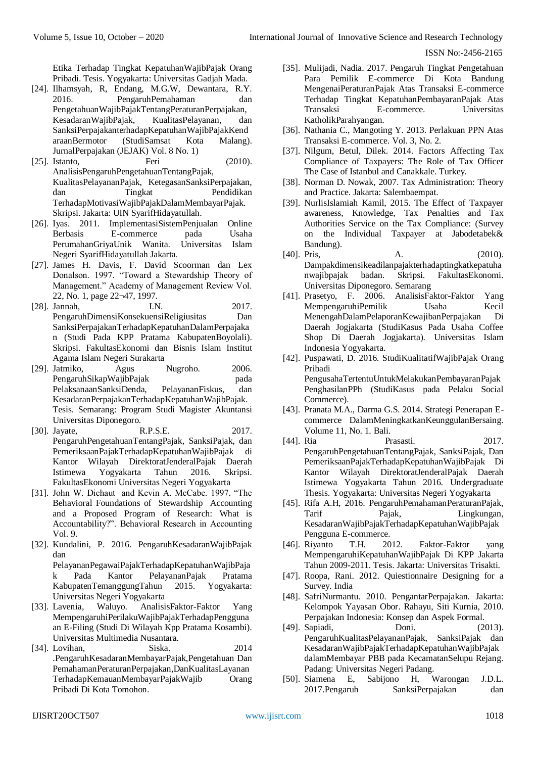Etika Terhadap Tingkat KepatuhanWajibPajak Orang Pribadi. Tesis. Yogyakarta: Universitas Gadjah Mada.

- [24]. Ilhamsyah, R, Endang, M.G.W, Dewantara, R.Y. 2016. PengaruhPemahaman dan PengetahuanWajibPajakTentangPeraturanPerpajakan, KesadaranWajibPajak, KualitasPelayanan, dan SanksiPerpajakanterhadapKepatuhanWajibPajakKend araanBermotor (StudiSamsat Kota Malang). JurnalPerpajakan (JEJAK) Vol. 8 No. 1)
- [25]. Istanto, Feri (2010). AnalisisPengaruhPengetahuanTentangPajak, KualitasPelayananPajak, KetegasanSanksiPerpajakan, dan Tingkat Pendidikan TerhadapMotivasiWajibPajakDalamMembayarPajak. Skripsi. Jakarta: UIN SyarifHidayatullah.
- [26]. Iyas. 2011. ImplementasiSistemPenjualan Online Berbasis E-commerce pada Usaha PerumahanGriyaUnik Wanita. Universitas Islam Negeri SyarifHidayatullah Jakarta.
- [27]. James H. Davis, F. David Scoorman dan Lex Donalson. 1997. "Toward a Stewardship Theory of Management." Academy of Management Review Vol. 22, No. 1, page 22¬47, 1997.
- [28]. Jannah, I.N. 2017. PengaruhDimensiKonsekuensiReligiusitas Dan SanksiPerpajakanTerhadapKepatuhanDalamPerpajaka n (Studi Pada KPP Pratama KabupatenBoyolali). Skripsi. FakultasEkonomi dan Bisnis Islam Institut Agama Islam Negeri Surakarta
- [29]. Jatmiko, Agus Nugroho. 2006. PengaruhSikapWajibPajak pada PelaksanaanSanksiDenda, PelayananFiskus, dan KesadaranPerpajakanTerhadapKepatuhanWajibPajak. Tesis. Semarang: Program Studi Magister Akuntansi Universitas Diponegoro.
- [30]. Jayate, R.P.S.E. 2017. PengaruhPengetahuanTentangPajak, SanksiPajak, dan PemeriksaanPajakTerhadapKepatuhanWajibPajak di Kantor Wilayah DirektoratJenderalPajak Daerah Istimewa Yogyakarta Tahun 2016. Skripsi. FakultasEkonomi Universitas Negeri Yogyakarta
- [31]. John W. Dichaut and Kevin A. McCabe. 1997. "The Behavioral Foundations of Stewardship Accounting and a Proposed Program of Research: What is Accountability?". Behavioral Research in Accounting Vol. 9.
- [32]. Kundalini, P. 2016. PengaruhKesadaranWajibPajak dan

PelayananPegawaiPajakTerhadapKepatuhanWajibPaja Pada Kantor PelayananPajak Pratama KabupatenTemanggungTahun 2015. Yogyakarta: Universitas Negeri Yogyakarta

- [33]. Lavenia, Waluyo. AnalisisFaktor-Faktor Yang MempengaruhiPerilakuWajibPajakTerhadapPengguna an E-Filing (Studi Di Wilayah Kpp Pratama Kosambi). Universitas Multimedia Nusantara.
- [34]. Lovihan, Siska. 2014 .PengaruhKesadaranMembayarPajak,Pengetahuan Dan PemahamanPeraturanPerpajakan,DanKualitasLayanan TerhadapKemauanMembayarPajakWajib Orang Pribadi Di Kota Tomohon.
- [35]. Mulijadi, Nadia. 2017. Pengaruh Tingkat Pengetahuan Para Pemilik E-commerce Di Kota Bandung MengenaiPeraturanPajak Atas Transaksi E-commerce Terhadap Tingkat KepatuhanPembayaranPajak Atas Transaksi E-commerce. Universitas KatholikParahyangan.
- [36]. Nathania C., Mangoting Y. 2013. Perlakuan PPN Atas Transaksi E-commerce. Vol. 3, No. 2.
- [37]. Nilgum, Betul, Dilek. 2014. Factors Affecting Tax Compliance of Taxpayers: The Role of Tax Officer The Case of Istanbul and Canakkale. Turkey.
- [38]. Norman D. Nowak, 2007. Tax Administration: Theory and Practice. Jakarta: Salembaempat.
- [39]. NurlisIslamiah Kamil, 2015. The Effect of Taxpayer awareness, Knowledge, Tax Penalties and Tax Authorities Service on the Tax Compliance: (Survey on the Individual Taxpayer at Jabodetabek& Bandung).
- [40]. Pris, A. (2010). Dampakdimensikeadilanpajakterhadaptingkatkepatuha nwajibpajak badan. Skripsi. FakultasEkonomi. Universitas Diponegoro. Semarang
- [41]. Prasetyo, F. 2006. AnalisisFaktor-Faktor Yang MempengaruhiPemilik Usaha Kecil MenengahDalamPelaporanKewajibanPerpajakan Di Daerah Jogjakarta (StudiKasus Pada Usaha Coffee Shop Di Daerah Jogjakarta). Universitas Islam Indonesia Yogyakarta.
- [42]. Puspawati, D. 2016. StudiKualitatifWajibPajak Orang Pribadi PengusahaTertentuUntukMelakukanPembayaranPajak PenghasilanPPh (StudiKasus pada Pelaku Social Commerce).
- [43]. Pranata M.A., Darma G.S. 2014. Strategi Penerapan Ecommerce DalamMeningkatkanKeunggulanBersaing. Volume 11, No. 1. Bali.
- [44]. Ria Prasasti. 2017. PengaruhPengetahuanTentangPajak, SanksiPajak, Dan PemeriksaanPajakTerhadapKepatuhanWajibPajak Di Kantor Wilayah DirektoratJenderalPajak Daerah Istimewa Yogyakarta Tahun 2016. Undergraduate Thesis. Yogyakarta: Universitas Negeri Yogyakarta
- [45]. Rifa A.H, 2016. PengaruhPemahamanPeraturanPajak, Tarif Pajak, Lingkungan, KesadaranWajibPajakTerhadapKepatuhanWajibPajak Pengguna E-commerce.
- [46]. Riyanto T.H. 2012. Faktor-Faktor yang MempengaruhiKepatuhanWajibPajak Di KPP Jakarta Tahun 2009-2011. Tesis. Jakarta: Universitas Trisakti.
- [47]. Roopa, Rani. 2012. Quiestionnaire Designing for a Survey. India
- [48]. SafriNurmantu. 2010. PengantarPerpajakan. Jakarta: Kelompok Yayasan Obor. Rahayu, Siti Kurnia, 2010. Perpajakan Indonesia: Konsep dan Aspek Formal.
- [49]. Sapiadi, Doni. (2013). PengaruhKualitasPelayananPajak, SanksiPajak dan KesadaranWajibPajakTerhadapKepatuhanWajibPajak dalamMembayar PBB pada KecamatanSelupu Rejang. Padang: Universitas Negeri Padang.
- [50]. Siamena E, Sabijono H, Warongan J.D.L. 2017.Pengaruh SanksiPerpajakan dan